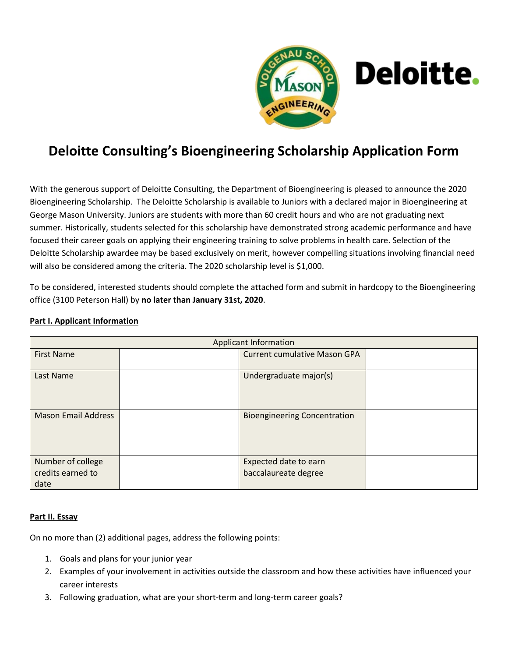

## **Deloitte Consulting's Bioengineering Scholarship Application Form**

With the generous support of Deloitte Consulting, the Department of Bioengineering is pleased to announce the 2020 Bioengineering Scholarship. The Deloitte Scholarship is available to Juniors with a declared major in Bioengineering at George Mason University. Juniors are students with more than 60 credit hours and who are not graduating next summer. Historically, students selected for this scholarship have demonstrated strong academic performance and have focused their career goals on applying their engineering training to solve problems in health care. Selection of the Deloitte Scholarship awardee may be based exclusively on merit, however compelling situations involving financial need will also be considered among the criteria. The 2020 scholarship level is \$1,000.

To be considered, interested students should complete the attached form and submit in hardcopy to the Bioengineering office (3100 Peterson Hall) by **no later than January 31st, 2020**.

| <b>Applicant Information</b>                   |  |                                               |  |
|------------------------------------------------|--|-----------------------------------------------|--|
| <b>First Name</b>                              |  | <b>Current cumulative Mason GPA</b>           |  |
| Last Name                                      |  | Undergraduate major(s)                        |  |
| <b>Mason Email Address</b>                     |  | <b>Bioengineering Concentration</b>           |  |
| Number of college<br>credits earned to<br>date |  | Expected date to earn<br>baccalaureate degree |  |

## **Part I. Applicant Information**

## **Part II. Essay**

On no more than (2) additional pages, address the following points:

- 1. Goals and plans for your junior year
- 2. Examples of your involvement in activities outside the classroom and how these activities have influenced your career interests
- 3. Following graduation, what are your short-term and long-term career goals?